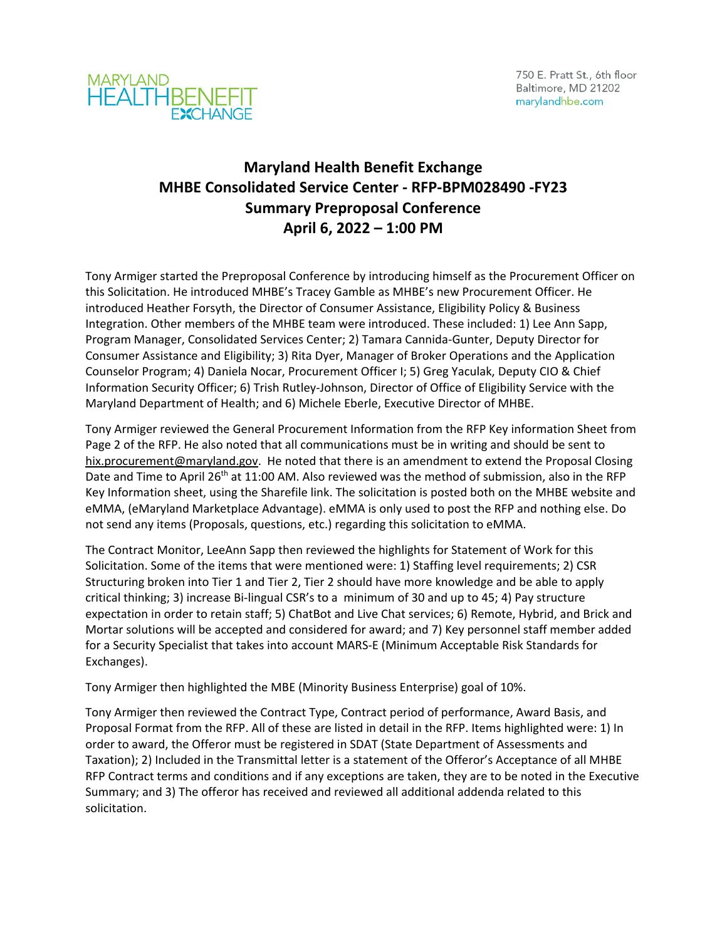



## **Maryland Health Benefit Exchange MHBE Consolidated Service Center ‐ RFP‐BPM028490 ‐FY23 Summary Preproposal Conference April 6, 2022 – 1:00 PM**

Tony Armiger started the Preproposal Conference by introducing himself as the Procurement Officer on this Solicitation. He introduced MHBE's Tracey Gamble as MHBE's new Procurement Officer. He introduced Heather Forsyth, the Director of Consumer Assistance, Eligibility Policy & Business Integration. Other members of the MHBE team were introduced. These included: 1) Lee Ann Sapp, Program Manager, Consolidated Services Center; 2) Tamara Cannida‐Gunter, Deputy Director for Consumer Assistance and Eligibility; 3) Rita Dyer, Manager of Broker Operations and the Application Counselor Program; 4) Daniela Nocar, Procurement Officer I; 5) Greg Yaculak, Deputy CIO & Chief Information Security Officer; 6) Trish Rutley‐Johnson, Director of Office of Eligibility Service with the Maryland Department of Health; and 6) Michele Eberle, Executive Director of MHBE.

Tony Armiger reviewed the General Procurement Information from the RFP Key information Sheet from Page 2 of the RFP. He also noted that all communications must be in writing and should be sent to hix.procurement@maryland.gov. He noted that there is an amendment to extend the Proposal Closing Date and Time to April 26<sup>th</sup> at 11:00 AM. Also reviewed was the method of submission, also in the RFP Key Information sheet, using the Sharefile link. The solicitation is posted both on the MHBE website and eMMA, (eMaryland Marketplace Advantage). eMMA is only used to post the RFP and nothing else. Do not send any items (Proposals, questions, etc.) regarding this solicitation to eMMA.

The Contract Monitor, LeeAnn Sapp then reviewed the highlights for Statement of Work for this Solicitation. Some of the items that were mentioned were: 1) Staffing level requirements; 2) CSR Structuring broken into Tier 1 and Tier 2, Tier 2 should have more knowledge and be able to apply critical thinking; 3) increase Bi‐lingual CSR's to a minimum of 30 and up to 45; 4) Pay structure expectation in order to retain staff; 5) ChatBot and Live Chat services; 6) Remote, Hybrid, and Brick and Mortar solutions will be accepted and considered for award; and 7) Key personnel staff member added for a Security Specialist that takes into account MARS‐E (Minimum Acceptable Risk Standards for Exchanges).

Tony Armiger then highlighted the MBE (Minority Business Enterprise) goal of 10%.

Tony Armiger then reviewed the Contract Type, Contract period of performance, Award Basis, and Proposal Format from the RFP. All of these are listed in detail in the RFP. Items highlighted were: 1) In order to award, the Offeror must be registered in SDAT (State Department of Assessments and Taxation); 2) Included in the Transmittal letter is a statement of the Offeror's Acceptance of all MHBE RFP Contract terms and conditions and if any exceptions are taken, they are to be noted in the Executive Summary; and 3) The offeror has received and reviewed all additional addenda related to this solicitation.